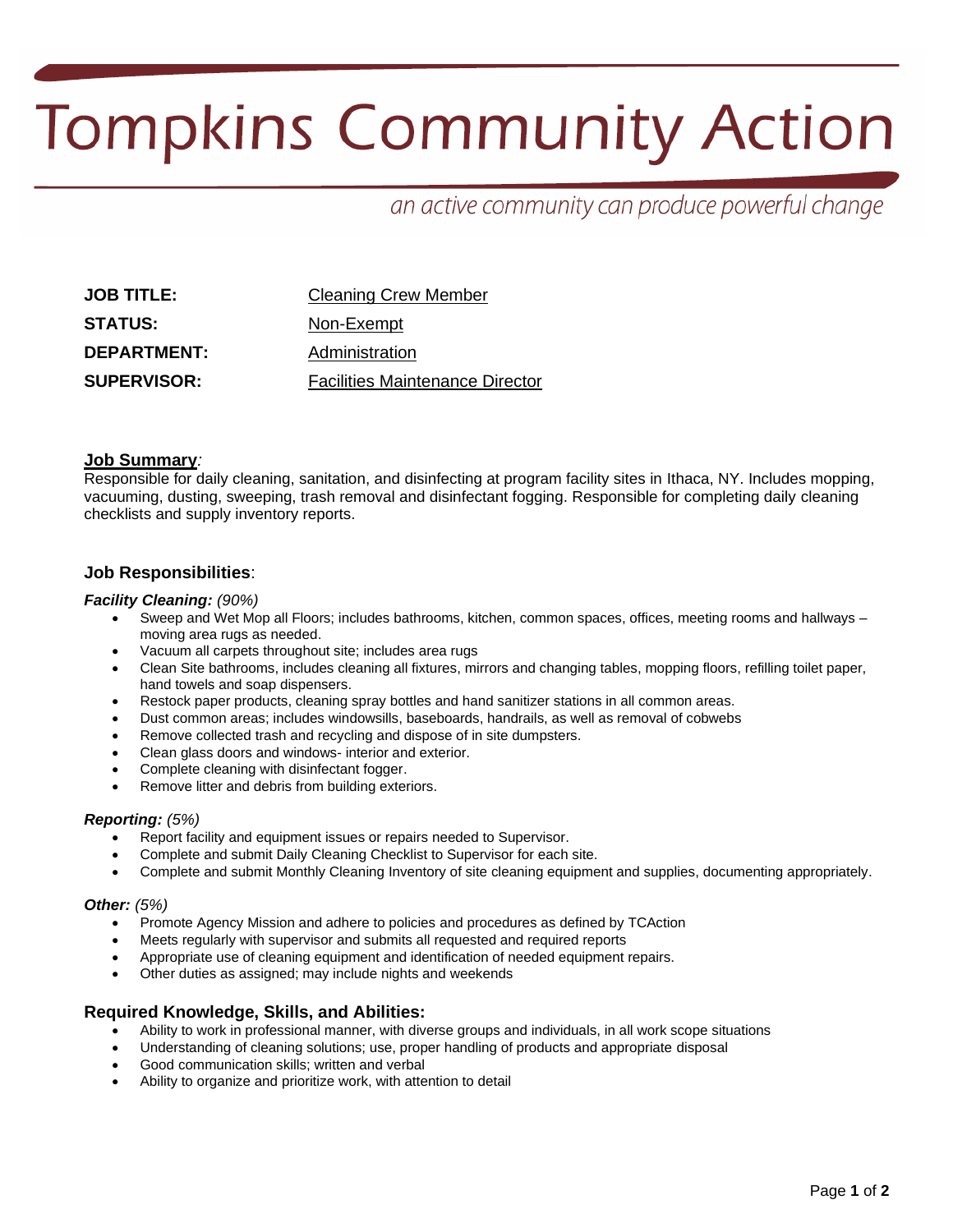# **Tompkins Community Action**

# an active community can produce powerful change

| <b>JOB TITLE:</b>  | <b>Cleaning Crew Member</b>            |
|--------------------|----------------------------------------|
| <b>STATUS:</b>     | Non-Exempt                             |
| <b>DEPARTMENT:</b> | Administration                         |
| <b>SUPERVISOR:</b> | <b>Facilities Maintenance Director</b> |

# **Job Summary***:*

Responsible for daily cleaning, sanitation, and disinfecting at program facility sites in Ithaca, NY. Includes mopping, vacuuming, dusting, sweeping, trash removal and disinfectant fogging. Responsible for completing daily cleaning checklists and supply inventory reports.

# **Job Responsibilities**:

#### *Facility Cleaning: (90%)*

- Sweep and Wet Mop all Floors; includes bathrooms, kitchen, common spaces, offices, meeting rooms and hallways moving area rugs as needed.
- Vacuum all carpets throughout site; includes area rugs
- Clean Site bathrooms, includes cleaning all fixtures, mirrors and changing tables, mopping floors, refilling toilet paper, hand towels and soap dispensers.
- Restock paper products, cleaning spray bottles and hand sanitizer stations in all common areas.
- Dust common areas; includes windowsills, baseboards, handrails, as well as removal of cobwebs
- Remove collected trash and recycling and dispose of in site dumpsters.
- Clean glass doors and windows- interior and exterior.
- Complete cleaning with disinfectant fogger.
- Remove litter and debris from building exteriors.

#### *Reporting: (5%)*

- Report facility and equipment issues or repairs needed to Supervisor.
- Complete and submit Daily Cleaning Checklist to Supervisor for each site.
- Complete and submit Monthly Cleaning Inventory of site cleaning equipment and supplies, documenting appropriately.

#### *Other: (5%)*

- Promote Agency Mission and adhere to policies and procedures as defined by TCAction
- Meets regularly with supervisor and submits all requested and required reports
- Appropriate use of cleaning equipment and identification of needed equipment repairs.
- Other duties as assigned; may include nights and weekends

# **Required Knowledge, Skills, and Abilities:**

- Ability to work in professional manner, with diverse groups and individuals, in all work scope situations
- Understanding of cleaning solutions; use, proper handling of products and appropriate disposal
- Good communication skills; written and verbal
- Ability to organize and prioritize work, with attention to detail